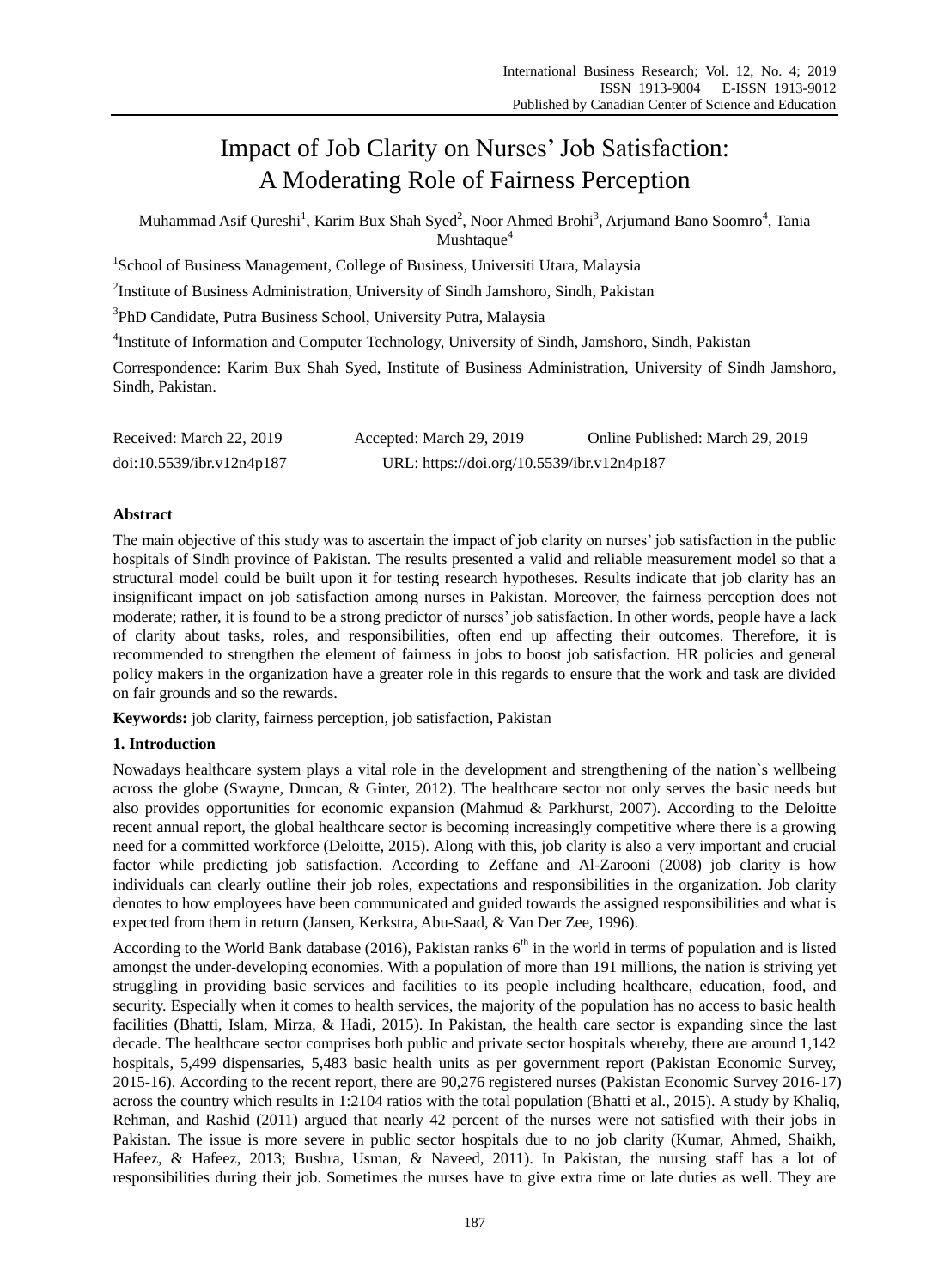# Impact of Job Clarity on Nurses' Job Satisfaction: A Moderating Role of Fairness Perception

Muhammad Asif Qureshi<sup>1</sup>, Karim Bux Shah Syed<sup>2</sup>, Noor Ahmed Brohi<sup>3</sup>, Arjumand Bano Soomro<sup>4</sup>, Tania Mushtaque<sup>4</sup>

<sup>1</sup>School of Business Management, College of Business, Universiti Utara, Malaysia

<sup>2</sup>Institute of Business Administration, University of Sindh Jamshoro, Sindh, Pakistan

3 PhD Candidate, Putra Business School, University Putra, Malaysia

<sup>4</sup>Institute of Information and Computer Technology, University of Sindh, Jamshoro, Sindh, Pakistan

Correspondence: Karim Bux Shah Syed, Institute of Business Administration, University of Sindh Jamshoro, Sindh, Pakistan.

| Received: March 22, 2019  | Accepted: March 29, 2019                   | Online Published: March 29, 2019 |
|---------------------------|--------------------------------------------|----------------------------------|
| doi:10.5539/ibr.v12n4p187 | URL: https://doi.org/10.5539/ibr.v12n4p187 |                                  |

# **Abstract**

The main objective of this study was to ascertain the impact of job clarity on nurses" job satisfaction in the public hospitals of Sindh province of Pakistan. The results presented a valid and reliable measurement model so that a structural model could be built upon it for testing research hypotheses. Results indicate that job clarity has an insignificant impact on job satisfaction among nurses in Pakistan. Moreover, the fairness perception does not moderate; rather, it is found to be a strong predictor of nurses" job satisfaction. In other words, people have a lack of clarity about tasks, roles, and responsibilities, often end up affecting their outcomes. Therefore, it is recommended to strengthen the element of fairness in jobs to boost job satisfaction. HR policies and general policy makers in the organization have a greater role in this regards to ensure that the work and task are divided on fair grounds and so the rewards.

**Keywords:** job clarity, fairness perception, job satisfaction, Pakistan

# **1. Introduction**

Nowadays healthcare system plays a vital role in the development and strengthening of the nation`s wellbeing across the globe (Swayne, Duncan, & Ginter, 2012). The healthcare sector not only serves the basic needs but also provides opportunities for economic expansion (Mahmud & Parkhurst, 2007). According to the Deloitte recent annual report, the global healthcare sector is becoming increasingly competitive where there is a growing need for a committed workforce (Deloitte, 2015). Along with this, job clarity is also a very important and crucial factor while predicting job satisfaction. According to Zeffane and Al-Zarooni (2008) job clarity is how individuals can clearly outline their job roles, expectations and responsibilities in the organization. Job clarity denotes to how employees have been communicated and guided towards the assigned responsibilities and what is expected from them in return (Jansen, Kerkstra, Abu-Saad, & Van Der Zee, 1996).

According to the World Bank database (2016), Pakistan ranks  $6<sup>th</sup>$  in the world in terms of population and is listed amongst the under-developing economies. With a population of more than 191 millions, the nation is striving yet struggling in providing basic services and facilities to its people including healthcare, education, food, and security. Especially when it comes to health services, the majority of the population has no access to basic health facilities (Bhatti, Islam, Mirza, & Hadi, 2015). In Pakistan, the health care sector is expanding since the last decade. The healthcare sector comprises both public and private sector hospitals whereby, there are around 1,142 hospitals, 5,499 dispensaries, 5,483 basic health units as per government report (Pakistan Economic Survey, 2015-16). According to the recent report, there are 90,276 registered nurses (Pakistan Economic Survey 2016-17) across the country which results in 1:2104 ratios with the total population (Bhatti et al., 2015). A study by Khaliq, Rehman, and Rashid (2011) argued that nearly 42 percent of the nurses were not satisfied with their jobs in Pakistan. The issue is more severe in public sector hospitals due to no job clarity (Kumar, Ahmed, Shaikh, Hafeez, & Hafeez, 2013; Bushra, Usman, & Naveed, 2011). In Pakistan, the nursing staff has a lot of responsibilities during their job. Sometimes the nurses have to give extra time or late duties as well. They are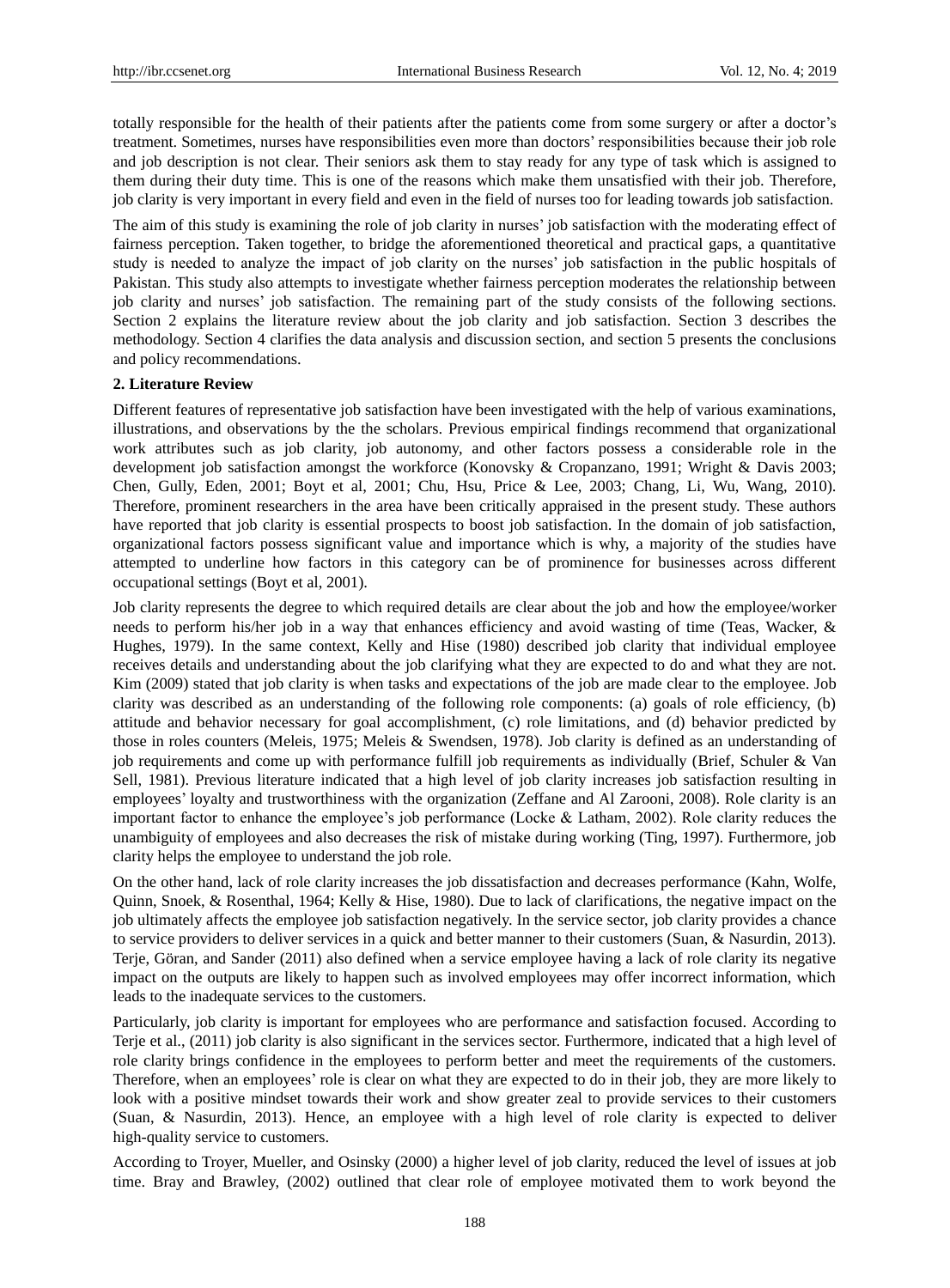totally responsible for the health of their patients after the patients come from some surgery or after a doctor"s treatment. Sometimes, nurses have responsibilities even more than doctors" responsibilities because their job role and job description is not clear. Their seniors ask them to stay ready for any type of task which is assigned to them during their duty time. This is one of the reasons which make them unsatisfied with their job. Therefore, job clarity is very important in every field and even in the field of nurses too for leading towards job satisfaction.

The aim of this study is examining the role of job clarity in nurses" job satisfaction with the moderating effect of fairness perception. Taken together, to bridge the aforementioned theoretical and practical gaps, a quantitative study is needed to analyze the impact of job clarity on the nurses" job satisfaction in the public hospitals of Pakistan. This study also attempts to investigate whether fairness perception moderates the relationship between job clarity and nurses' job satisfaction. The remaining part of the study consists of the following sections. Section 2 explains the literature review about the job clarity and job satisfaction. Section 3 describes the methodology. Section 4 clarifies the data analysis and discussion section, and section 5 presents the conclusions and policy recommendations.

#### **2. Literature Review**

Different features of representative job satisfaction have been investigated with the help of various examinations, illustrations, and observations by the the scholars. Previous empirical findings recommend that organizational work attributes such as job clarity, job autonomy, and other factors possess a considerable role in the development job satisfaction amongst the workforce (Konovsky & Cropanzano, 1991; Wright & Davis 2003; Chen, Gully, Eden, 2001; Boyt et al, 2001; Chu, Hsu, Price & Lee, 2003; Chang, Li, Wu, Wang, 2010). Therefore, prominent researchers in the area have been critically appraised in the present study. These authors have reported that job clarity is essential prospects to boost job satisfaction. In the domain of job satisfaction, organizational factors possess significant value and importance which is why, a majority of the studies have attempted to underline how factors in this category can be of prominence for businesses across different occupational settings (Boyt et al, 2001).

Job clarity represents the degree to which required details are clear about the job and how the employee/worker needs to perform his/her job in a way that enhances efficiency and avoid wasting of time (Teas, Wacker, & Hughes, 1979). In the same context, Kelly and Hise (1980) described job clarity that individual employee receives details and understanding about the job clarifying what they are expected to do and what they are not. Kim (2009) stated that job clarity is when tasks and expectations of the job are made clear to the employee. Job clarity was described as an understanding of the following role components: (a) goals of role efficiency, (b) attitude and behavior necessary for goal accomplishment, (c) role limitations, and (d) behavior predicted by those in roles counters (Meleis, 1975; Meleis & Swendsen, 1978). Job clarity is defined as an understanding of job requirements and come up with performance fulfill job requirements as individually (Brief, Schuler & Van Sell, 1981). Previous literature indicated that a high level of job clarity increases job satisfaction resulting in employees" loyalty and trustworthiness with the organization (Zeffane and Al Zarooni, 2008). Role clarity is an important factor to enhance the employee's job performance (Locke  $&$  Latham, 2002). Role clarity reduces the unambiguity of employees and also decreases the risk of mistake during working (Ting, 1997). Furthermore, job clarity helps the employee to understand the job role.

On the other hand, lack of role clarity increases the job dissatisfaction and decreases performance (Kahn, Wolfe, Quinn, Snoek, & Rosenthal, 1964; Kelly & Hise, 1980). Due to lack of clarifications, the negative impact on the job ultimately affects the employee job satisfaction negatively. In the service sector, job clarity provides a chance to service providers to deliver services in a quick and better manner to their customers (Suan, & Nasurdin, 2013). Terje, Göran, and Sander (2011) also defined when a service employee having a lack of role clarity its negative impact on the outputs are likely to happen such as involved employees may offer incorrect information, which leads to the inadequate services to the customers.

Particularly, job clarity is important for employees who are performance and satisfaction focused. According to Terje et al., (2011) job clarity is also significant in the services sector. Furthermore, indicated that a high level of role clarity brings confidence in the employees to perform better and meet the requirements of the customers. Therefore, when an employees' role is clear on what they are expected to do in their job, they are more likely to look with a positive mindset towards their work and show greater zeal to provide services to their customers (Suan, & Nasurdin, 2013). Hence, an employee with a high level of role clarity is expected to deliver high-quality service to customers.

According to Troyer, Mueller, and Osinsky (2000) a higher level of job clarity, reduced the level of issues at job time. Bray and Brawley, (2002) outlined that clear role of employee motivated them to work beyond the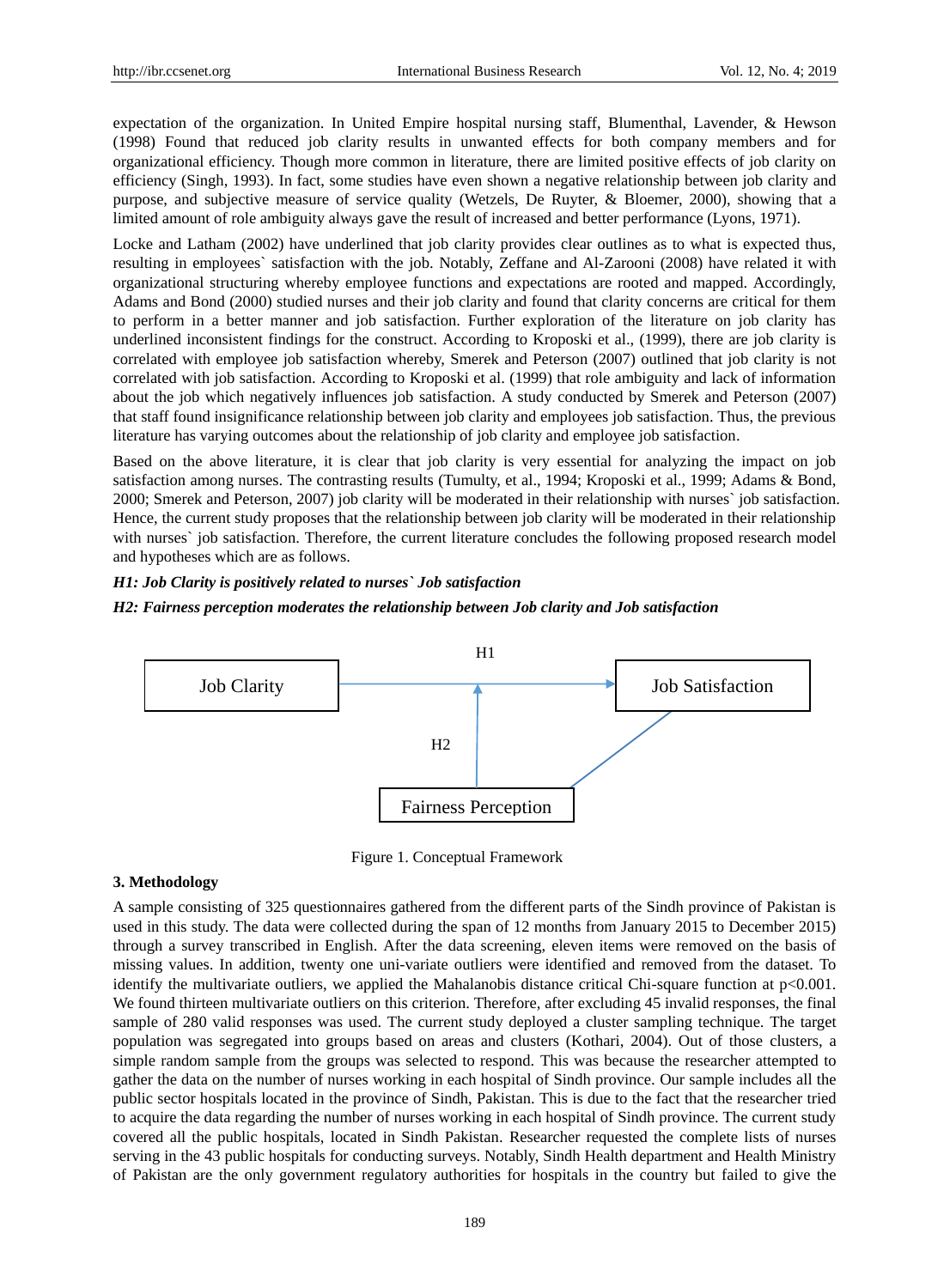expectation of the organization. In United Empire hospital nursing staff, Blumenthal, Lavender, & Hewson (1998) Found that reduced job clarity results in unwanted effects for both company members and for organizational efficiency. Though more common in literature, there are limited positive effects of job clarity on efficiency (Singh, 1993). In fact, some studies have even shown a negative relationship between job clarity and purpose, and subjective measure of service quality (Wetzels, De Ruyter, & Bloemer, 2000), showing that a limited amount of role ambiguity always gave the result of increased and better performance (Lyons, 1971).

Locke and Latham (2002) have underlined that job clarity provides clear outlines as to what is expected thus, resulting in employees` satisfaction with the job. Notably, Zeffane and Al-Zarooni (2008) have related it with organizational structuring whereby employee functions and expectations are rooted and mapped. Accordingly, Adams and Bond (2000) studied nurses and their job clarity and found that clarity concerns are critical for them to perform in a better manner and job satisfaction. Further exploration of the literature on job clarity has underlined inconsistent findings for the construct. According to Kroposki et al., (1999), there are job clarity is correlated with employee job satisfaction whereby, Smerek and Peterson (2007) outlined that job clarity is not correlated with job satisfaction. According to Kroposki et al. (1999) that role ambiguity and lack of information about the job which negatively influences job satisfaction. A study conducted by Smerek and Peterson (2007) that staff found insignificance relationship between job clarity and employees job satisfaction. Thus, the previous literature has varying outcomes about the relationship of job clarity and employee job satisfaction.

Based on the above literature, it is clear that job clarity is very essential for analyzing the impact on job satisfaction among nurses. The contrasting results (Tumulty, et al., 1994; Kroposki et al., 1999; Adams & Bond, 2000; Smerek and Peterson, 2007) job clarity will be moderated in their relationship with nurses` job satisfaction. Hence, the current study proposes that the relationship between job clarity will be moderated in their relationship with nurses` job satisfaction. Therefore, the current literature concludes the following proposed research model and hypotheses which are as follows.

# *H1: Job Clarity is positively related to nurses` Job satisfaction H2: Fairness perception moderates the relationship between Job clarity and Job satisfaction*



Figure 1. Conceptual Framework

#### **3. Methodology**

A sample consisting of 325 questionnaires gathered from the different parts of the Sindh province of Pakistan is used in this study. The data were collected during the span of 12 months from January 2015 to December 2015) through a survey transcribed in English. After the data screening, eleven items were removed on the basis of missing values. In addition, twenty one uni-variate outliers were identified and removed from the dataset. To identify the multivariate outliers, we applied the Mahalanobis distance critical Chi-square function at p<0.001. We found thirteen multivariate outliers on this criterion. Therefore, after excluding 45 invalid responses, the final sample of 280 valid responses was used. The current study deployed a cluster sampling technique. The target population was segregated into groups based on areas and clusters (Kothari, 2004). Out of those clusters, a simple random sample from the groups was selected to respond. This was because the researcher attempted to gather the data on the number of nurses working in each hospital of Sindh province. Our sample includes all the public sector hospitals located in the province of Sindh, Pakistan. This is due to the fact that the researcher tried to acquire the data regarding the number of nurses working in each hospital of Sindh province. The current study covered all the public hospitals, located in Sindh Pakistan. Researcher requested the complete lists of nurses serving in the 43 public hospitals for conducting surveys. Notably, Sindh Health department and Health Ministry of Pakistan are the only government regulatory authorities for hospitals in the country but failed to give the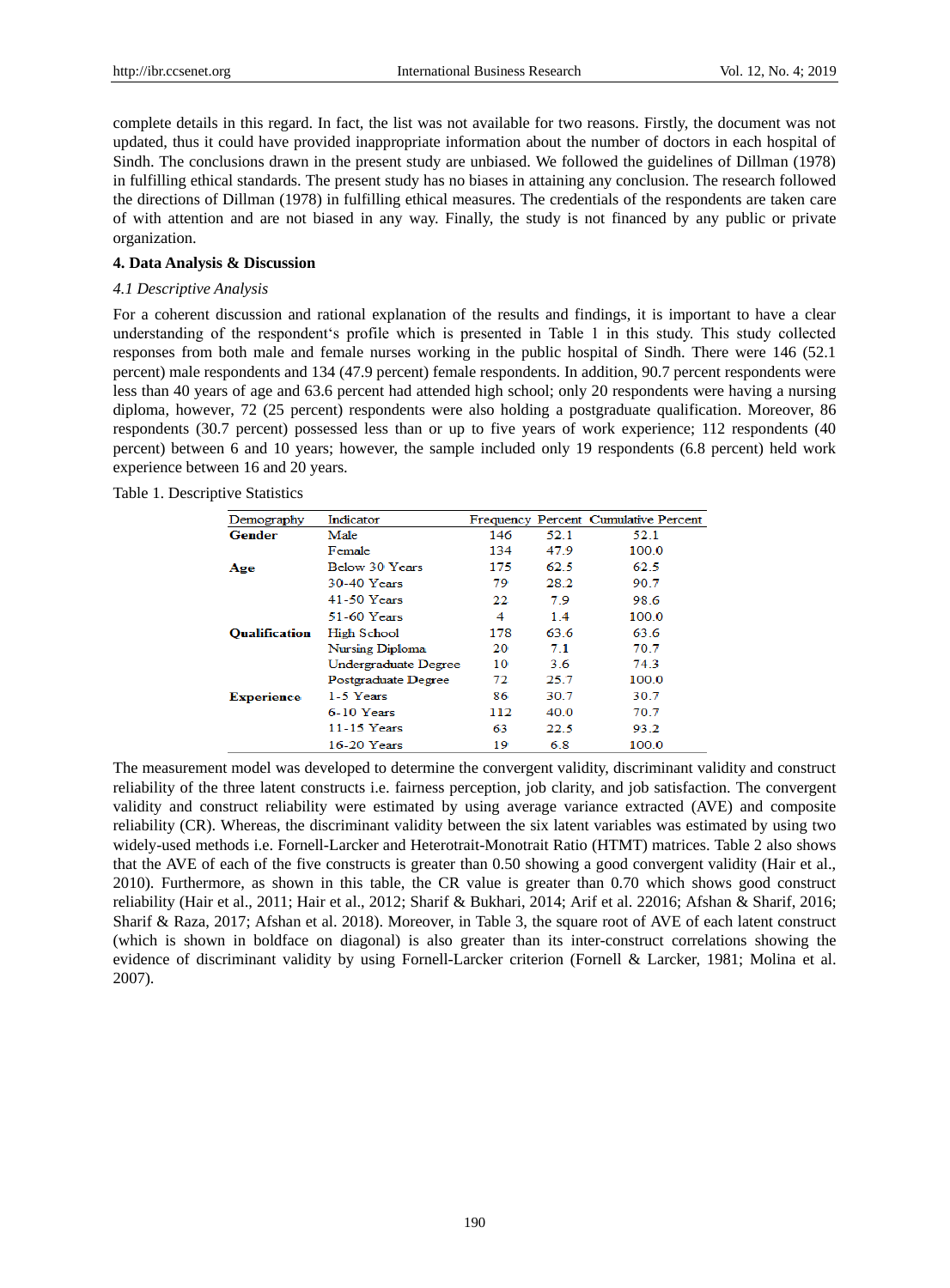complete details in this regard. In fact, the list was not available for two reasons. Firstly, the document was not updated, thus it could have provided inappropriate information about the number of doctors in each hospital of Sindh. The conclusions drawn in the present study are unbiased. We followed the guidelines of Dillman (1978) in fulfilling ethical standards. The present study has no biases in attaining any conclusion. The research followed the directions of Dillman (1978) in fulfilling ethical measures. The credentials of the respondents are taken care of with attention and are not biased in any way. Finally, the study is not financed by any public or private organization.

# **4. Data Analysis & Discussion**

## *4.1 Descriptive Analysis*

For a coherent discussion and rational explanation of the results and findings, it is important to have a clear understanding of the respondent"s profile which is presented in Table 1 in this study. This study collected responses from both male and female nurses working in the public hospital of Sindh. There were 146 (52.1 percent) male respondents and 134 (47.9 percent) female respondents. In addition, 90.7 percent respondents were less than 40 years of age and 63.6 percent had attended high school; only 20 respondents were having a nursing diploma, however, 72 (25 percent) respondents were also holding a postgraduate qualification. Moreover, 86 respondents (30.7 percent) possessed less than or up to five years of work experience; 112 respondents (40 percent) between 6 and 10 years; however, the sample included only 19 respondents (6.8 percent) held work experience between 16 and 20 years.

| Table 1. Descriptive Statistics |
|---------------------------------|
|---------------------------------|

| Demography           | Indicator            |     |      | Frequency Percent Cumulative Percent |
|----------------------|----------------------|-----|------|--------------------------------------|
| Gender               | Male                 | 146 | 52.1 | 52.1                                 |
|                      | Female               | 134 | 47.9 | 100.0                                |
| Age                  | Below 30 Years       | 175 | 62.5 | 62.5                                 |
|                      | 30-40 Years          | 79  | 28.2 | 90.7                                 |
|                      | 41-50 Years          | 22  | 79   | 98.6                                 |
|                      | 51-60 Years          | 4   | 14   | 100.0                                |
| <b>Oualification</b> | <b>High School</b>   | 178 | 63.6 | 63.6                                 |
|                      | Nursing Diploma      | 20  | 7.1  | 70.7                                 |
|                      | Undergraduate Degree | 10  | 36   | 74.3                                 |
|                      | Postgraduate Degree  | 72. | 25.7 | 100.0                                |
| <b>Experience</b>    | 1-5 Years            | 86  | 30.7 | 30.7                                 |
|                      | 6-10 Years           | 112 | 40.0 | 70.7                                 |
|                      | 11-15 Years          | 63  | 22.5 | 93.2                                 |
|                      | $16-20$ Years        | 19  | 6.8  | 100.0                                |

The measurement model was developed to determine the convergent validity, discriminant validity and construct reliability of the three latent constructs i.e. fairness perception, job clarity, and job satisfaction. The convergent validity and construct reliability were estimated by using average variance extracted (AVE) and composite reliability (CR). Whereas, the discriminant validity between the six latent variables was estimated by using two widely-used methods i.e. Fornell-Larcker and Heterotrait-Monotrait Ratio (HTMT) matrices. Table 2 also shows that the AVE of each of the five constructs is greater than 0.50 showing a good convergent validity (Hair et al., 2010). Furthermore, as shown in this table, the CR value is greater than 0.70 which shows good construct reliability (Hair et al., 2011; Hair et al., 2012; Sharif & Bukhari, 2014; Arif et al. 22016; Afshan & Sharif, 2016; Sharif & Raza, 2017; Afshan et al. 2018). Moreover, in Table 3, the square root of AVE of each latent construct (which is shown in boldface on diagonal) is also greater than its inter-construct correlations showing the evidence of discriminant validity by using Fornell-Larcker criterion (Fornell & Larcker, 1981; Molina et al. 2007).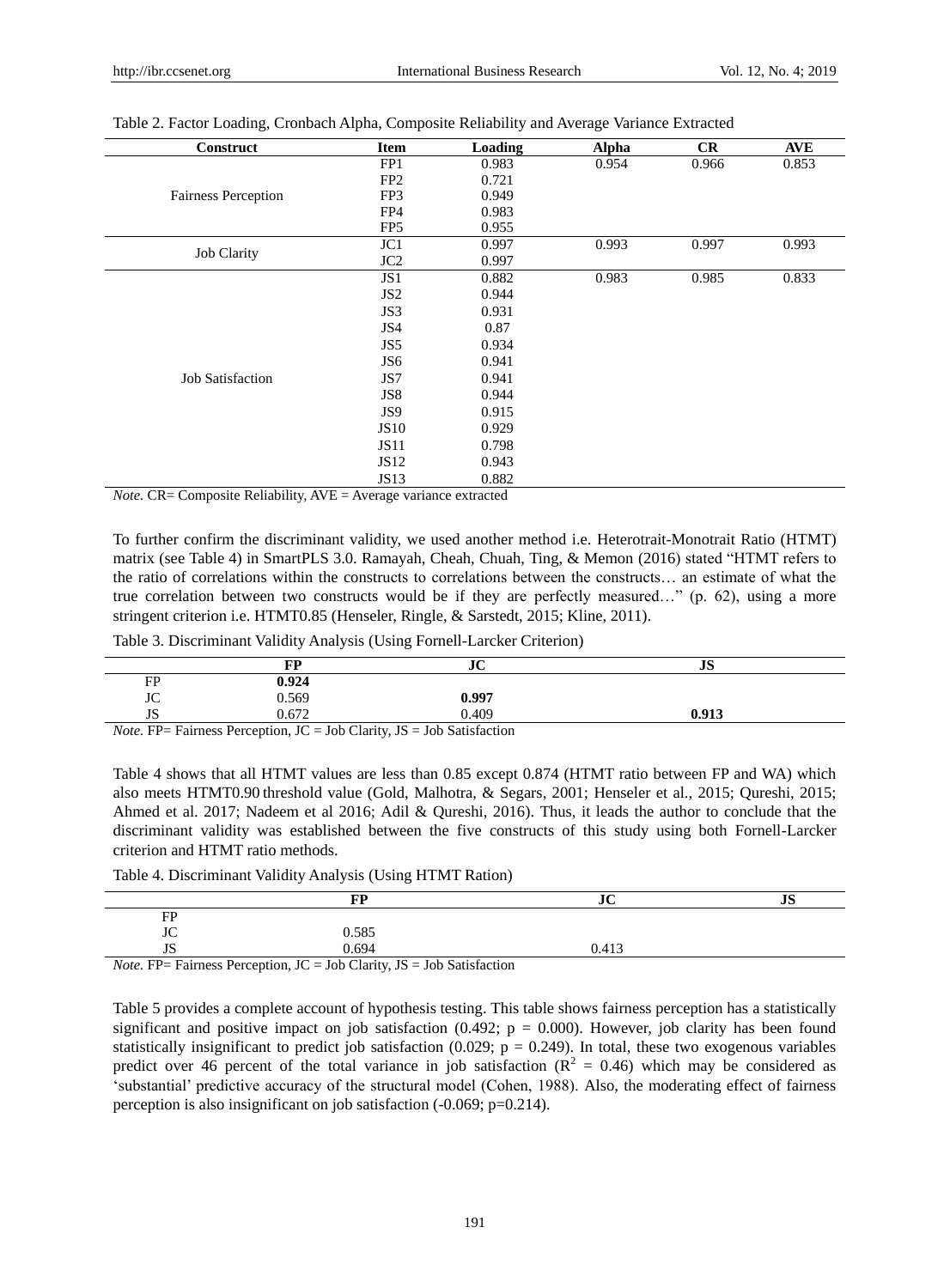| Construct                  | <b>Item</b>     | Loading | <b>Alpha</b> | CR    | <b>AVE</b> |
|----------------------------|-----------------|---------|--------------|-------|------------|
|                            | FP1             | 0.983   | 0.954        | 0.966 | 0.853      |
|                            | FP <sub>2</sub> | 0.721   |              |       |            |
| <b>Fairness Perception</b> | FP3             | 0.949   |              |       |            |
|                            | FP4             | 0.983   |              |       |            |
|                            | FP <sub>5</sub> | 0.955   |              |       |            |
|                            | JC1             | 0.997   | 0.993        | 0.997 | 0.993      |
| <b>Job Clarity</b>         | JC <sub>2</sub> | 0.997   |              |       |            |
|                            | JS1             | 0.882   | 0.983        | 0.985 | 0.833      |
|                            | JS <sub>2</sub> | 0.944   |              |       |            |
|                            | JS3             | 0.931   |              |       |            |
|                            | JS4             | 0.87    |              |       |            |
|                            | JS5             | 0.934   |              |       |            |
|                            | JS <sub>6</sub> | 0.941   |              |       |            |
| <b>Job Satisfaction</b>    | JS7             | 0.941   |              |       |            |
|                            | JS8             | 0.944   |              |       |            |
|                            | JS9             | 0.915   |              |       |            |
|                            | <b>JS10</b>     | 0.929   |              |       |            |
|                            | JS11            | 0.798   |              |       |            |
|                            | JS12            | 0.943   |              |       |            |
|                            | <b>JS13</b>     | 0.882   |              |       |            |

Table 2. Factor Loading, Cronbach Alpha, Composite Reliability and Average Variance Extracted

*Note.* CR= Composite Reliability, AVE = Average variance extracted

To further confirm the discriminant validity, we used another method i.e. Heterotrait-Monotrait Ratio (HTMT) matrix (see Table 4) in SmartPLS 3.0. Ramayah, Cheah, Chuah, Ting, & Memon (2016) stated "HTMT refers to the ratio of correlations within the constructs to correlations between the constructs… an estimate of what the true correlation between two constructs would be if they are perfectly measured…" (p. 62), using a more stringent criterion i.e. HTMT0.85 (Henseler, Ringle, & Sarstedt, 2015; Kline, 2011).

Table 3. Discriminant Validity Analysis (Using Fornell-Larcker Criterion)

|                                          | FP                                              | JU                                                        | $\mathbf{r}$<br>υIJ |
|------------------------------------------|-------------------------------------------------|-----------------------------------------------------------|---------------------|
| FP                                       | 0.924                                           |                                                           |                     |
| JC                                       | 0.569                                           | 0.997                                                     |                     |
| JS                                       | $0.67^\circ$                                    | 0.409                                                     | 0.913               |
| $\mathbf{v}$ $\mathbf{m}$ $\mathbf{r}$ . | <b>TIMILITA</b><br>$T^{\prime}$<br><sup>n</sup> | $\mathbf{r}$ , $\mathbf{r}$ , $\mathbf{r}$ , $\mathbf{r}$ |                     |

*Note.* FP= Fairness Perception, JC = Job Clarity, JS = Job Satisfaction

Table 4 shows that all HTMT values are less than 0.85 except 0.874 (HTMT ratio between FP and WA) which also meets HTMT0.90 threshold value (Gold, Malhotra, & Segars, 2001; Henseler et al., 2015; Qureshi, 2015; Ahmed et al. 2017; Nadeem et al 2016; Adil & Qureshi, 2016). Thus, it leads the author to conclude that the discriminant validity was established between the five constructs of this study using both Fornell-Larcker criterion and HTMT ratio methods.

Table 4. Discriminant Validity Analysis (Using HTMT Ration)

|    | ГD                                                                                            | JU    | $\mathbf{u}$ |
|----|-----------------------------------------------------------------------------------------------|-------|--------------|
| FP |                                                                                               |       |              |
| JC | 0.585                                                                                         |       |              |
| JЭ | 0.694                                                                                         | 0.413 |              |
|    | $N_{\text{obs}}$ ED <sub>-</sub> Enimers Demantion $IC =$ Lab Clarity $IC =$ Lab Setisfaction |       |              |

*Note.* FP= Fairness Perception,  $JC = Job$  Clarity,  $JS = Job$  Satisfaction

Table 5 provides a complete account of hypothesis testing. This table shows fairness perception has a statistically significant and positive impact on job satisfaction (0.492;  $p = 0.000$ ). However, job clarity has been found statistically insignificant to predict job satisfaction (0.029;  $p = 0.249$ ). In total, these two exogenous variables predict over 46 percent of the total variance in job satisfaction ( $R^2 = 0.46$ ) which may be considered as "substantial" predictive accuracy of the structural model (Cohen, 1988). Also, the moderating effect of fairness perception is also insignificant on job satisfaction (-0.069; p=0.214).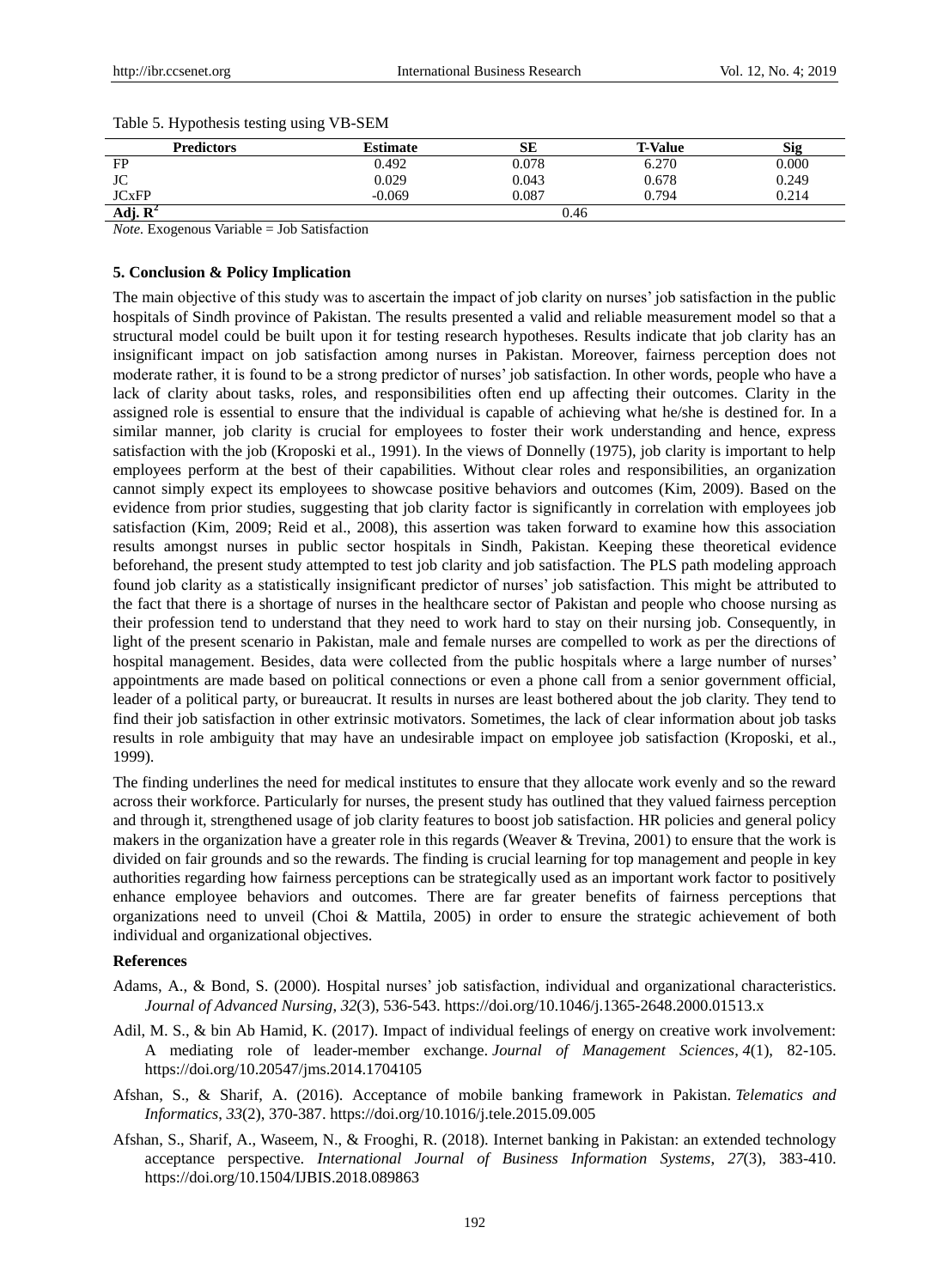| <b>Predictors</b>       | <b>Estimate</b> | SЕ    | <b>T-Value</b> | Sig   |
|-------------------------|-----------------|-------|----------------|-------|
| FP                      | 0.492           | 0.078 | 6.270          | 0.000 |
| JC                      | 0.029           | 0.043 | 0.678          | 0.249 |
| <b>JC<sub>xFP</sub></b> | $-0.069$        | 0.087 | 0.794          | 0.214 |
| Adj. $\mathbf{R}^2$     | 0.46            |       |                |       |

#### Table 5. Hypothesis testing using VB-SEM

*Note.* Exogenous Variable = Job Satisfaction

#### **5. Conclusion & Policy Implication**

The main objective of this study was to ascertain the impact of job clarity on nurses' job satisfaction in the public hospitals of Sindh province of Pakistan. The results presented a valid and reliable measurement model so that a structural model could be built upon it for testing research hypotheses. Results indicate that job clarity has an insignificant impact on job satisfaction among nurses in Pakistan. Moreover, fairness perception does not moderate rather, it is found to be a strong predictor of nurses" job satisfaction. In other words, people who have a lack of clarity about tasks, roles, and responsibilities often end up affecting their outcomes. Clarity in the assigned role is essential to ensure that the individual is capable of achieving what he/she is destined for. In a similar manner, job clarity is crucial for employees to foster their work understanding and hence, express satisfaction with the job (Kroposki et al., 1991). In the views of Donnelly (1975), job clarity is important to help employees perform at the best of their capabilities. Without clear roles and responsibilities, an organization cannot simply expect its employees to showcase positive behaviors and outcomes (Kim, 2009). Based on the evidence from prior studies, suggesting that job clarity factor is significantly in correlation with employees job satisfaction (Kim, 2009; Reid et al., 2008), this assertion was taken forward to examine how this association results amongst nurses in public sector hospitals in Sindh, Pakistan. Keeping these theoretical evidence beforehand, the present study attempted to test job clarity and job satisfaction. The PLS path modeling approach found job clarity as a statistically insignificant predictor of nurses" job satisfaction. This might be attributed to the fact that there is a shortage of nurses in the healthcare sector of Pakistan and people who choose nursing as their profession tend to understand that they need to work hard to stay on their nursing job. Consequently, in light of the present scenario in Pakistan, male and female nurses are compelled to work as per the directions of hospital management. Besides, data were collected from the public hospitals where a large number of nurses' appointments are made based on political connections or even a phone call from a senior government official, leader of a political party, or bureaucrat. It results in nurses are least bothered about the job clarity. They tend to find their job satisfaction in other extrinsic motivators. Sometimes, the lack of clear information about job tasks results in role ambiguity that may have an undesirable impact on employee job satisfaction (Kroposki, et al., 1999).

The finding underlines the need for medical institutes to ensure that they allocate work evenly and so the reward across their workforce. Particularly for nurses, the present study has outlined that they valued fairness perception and through it, strengthened usage of job clarity features to boost job satisfaction. HR policies and general policy makers in the organization have a greater role in this regards (Weaver & Trevina, 2001) to ensure that the work is divided on fair grounds and so the rewards. The finding is crucial learning for top management and people in key authorities regarding how fairness perceptions can be strategically used as an important work factor to positively enhance employee behaviors and outcomes. There are far greater benefits of fairness perceptions that organizations need to unveil (Choi & Mattila, 2005) in order to ensure the strategic achievement of both individual and organizational objectives.

#### **References**

- Adams, A., & Bond, S. (2000). Hospital nurses" job satisfaction, individual and organizational characteristics. *Journal of Advanced Nursing*, *32*(3), 536-543. https://doi.org/10.1046/j.1365-2648.2000.01513.x
- Adil, M. S., & bin Ab Hamid, K. (2017). Impact of individual feelings of energy on creative work involvement: A mediating role of leader-member exchange. *Journal of Management Sciences*, *4*(1), 82-105. https://doi.org/10.20547/jms.2014.1704105
- Afshan, S., & Sharif, A. (2016). Acceptance of mobile banking framework in Pakistan. *Telematics and Informatics*, *33*(2), 370-387. https://doi.org/10.1016/j.tele.2015.09.005
- Afshan, S., Sharif, A., Waseem, N., & Frooghi, R. (2018). Internet banking in Pakistan: an extended technology acceptance perspective. *International Journal of Business Information Systems*, *27*(3), 383-410. https://doi.org/10.1504/IJBIS.2018.089863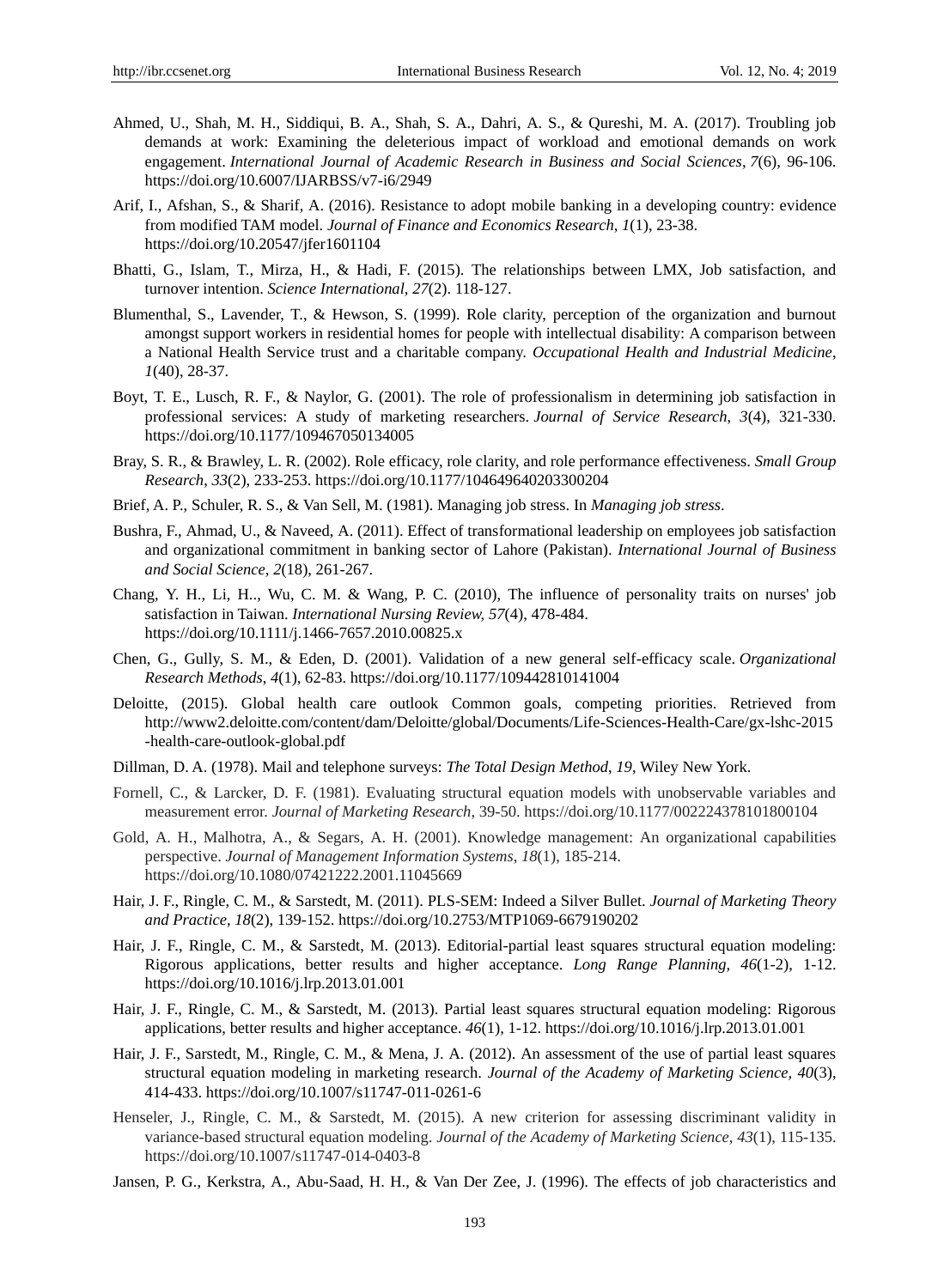- Ahmed, U., Shah, M. H., Siddiqui, B. A., Shah, S. A., Dahri, A. S., & Qureshi, M. A. (2017). Troubling job demands at work: Examining the deleterious impact of workload and emotional demands on work engagement. *International Journal of Academic Research in Business and Social Sciences*, *7*(6), 96-106. https://doi.org/10.6007/IJARBSS/v7-i6/2949
- Arif, I., Afshan, S., & Sharif, A. (2016). Resistance to adopt mobile banking in a developing country: evidence from modified TAM model. *Journal of Finance and Economics Research*, *1*(1), 23-38. https://doi.org/10.20547/jfer1601104
- Bhatti, G., Islam, T., Mirza, H., & Hadi, F. (2015). The relationships between LMX, Job satisfaction, and turnover intention. *Science International, 27*(2). 118-127.
- Blumenthal, S., Lavender, T., & Hewson, S. (1999). Role clarity, perception of the organization and burnout amongst support workers in residential homes for people with intellectual disability: A comparison between a National Health Service trust and a charitable company. *Occupational Health and Industrial Medicine*, *1*(40), 28-37.
- Boyt, T. E., Lusch, R. F., & Naylor, G. (2001). The role of professionalism in determining job satisfaction in professional services: A study of marketing researchers. *Journal of Service Research*, *3*(4), 321-330. https://doi.org/10.1177/109467050134005
- Bray, S. R., & Brawley, L. R. (2002). Role efficacy, role clarity, and role performance effectiveness. *Small Group Research*, *33*(2), 233-253. https://doi.org/10.1177/104649640203300204
- Brief, A. P., Schuler, R. S., & Van Sell, M. (1981). Managing job stress. In *Managing job stress*.
- Bushra, F., Ahmad, U., & Naveed, A. (2011). Effect of transformational leadership on employees job satisfaction and organizational commitment in banking sector of Lahore (Pakistan). *International Journal of Business and Social Science, 2*(18), 261-267.
- Chang, Y. H., Li, H.., Wu, C. M. & Wang, P. C. (2010), The influence of personality traits on nurses' job satisfaction in Taiwan. *International Nursing Review, 57*(4), 478-484. https://doi.org/10.1111/j.1466-7657.2010.00825.x
- Chen, G., Gully, S. M., & Eden, D. (2001). Validation of a new general self-efficacy scale. *Organizational Research Methods*, *4*(1), 62-83. https://doi.org/10.1177/109442810141004
- Deloitte, (2015). Global health care outlook Common goals, competing priorities. Retrieved from [http://www2.deloitte.com/content/dam/Deloitte/global/Documents/Life-Sciences-Health-Care/gx-lshc-2015](http://www2.deloitte.com/content/dam/Deloitte/global/Documents/Life-Sciences-Health-Care/gx-lshc-2015-health-care-outlook-global.pdf) [-health-care-outlook-global.pdf](http://www2.deloitte.com/content/dam/Deloitte/global/Documents/Life-Sciences-Health-Care/gx-lshc-2015-health-care-outlook-global.pdf)
- Dillman, D. A. (1978). Mail and telephone surveys: *The Total Design Method*, *19,* Wiley New York.
- Fornell, C., & Larcker, D. F. (1981). Evaluating structural equation models with unobservable variables and measurement error. *Journal of Marketing Research*, 39-50. https://doi.org/10.1177/002224378101800104
- Gold, A. H., Malhotra, A., & Segars, A. H. (2001). Knowledge management: An organizational capabilities perspective. *Journal of Management Information Systems*, *18*(1), 185-214. https://doi.org/10.1080/07421222.2001.11045669
- Hair, J. F., Ringle, C. M., & Sarstedt, M. (2011). PLS-SEM: Indeed a Silver Bullet. *Journal of Marketing Theory and Practice, 18*(2), 139-152. https://doi.org/10.2753/MTP1069-6679190202
- Hair, J. F., Ringle, C. M., & Sarstedt, M. (2013). Editorial-partial least squares structural equation modeling: Rigorous applications, better results and higher acceptance. *Long Range Planning, 46*(1-2), 1-12. https://doi.org/10.1016/j.lrp.2013.01.001
- Hair, J. F., Ringle, C. M., & Sarstedt, M. (2013). Partial least squares structural equation modeling: Rigorous applications, better results and higher acceptance. *46*(1), 1-12. https://doi.org/10.1016/j.lrp.2013.01.001
- Hair, J. F., Sarstedt, M., Ringle, C. M., & Mena, J. A. (2012). An assessment of the use of partial least squares structural equation modeling in marketing research. *Journal of the Academy of Marketing Science, 40*(3), 414-433. https://doi.org/10.1007/s11747-011-0261-6
- Henseler, J., Ringle, C. M., & Sarstedt, M. (2015). A new criterion for assessing discriminant validity in variance-based structural equation modeling. *Journal of the Academy of Marketing Science*, *43*(1), 115-135. https://doi.org/10.1007/s11747-014-0403-8
- Jansen, P. G., Kerkstra, A., Abu-Saad, H. H., & Van Der Zee, J. (1996). The effects of job characteristics and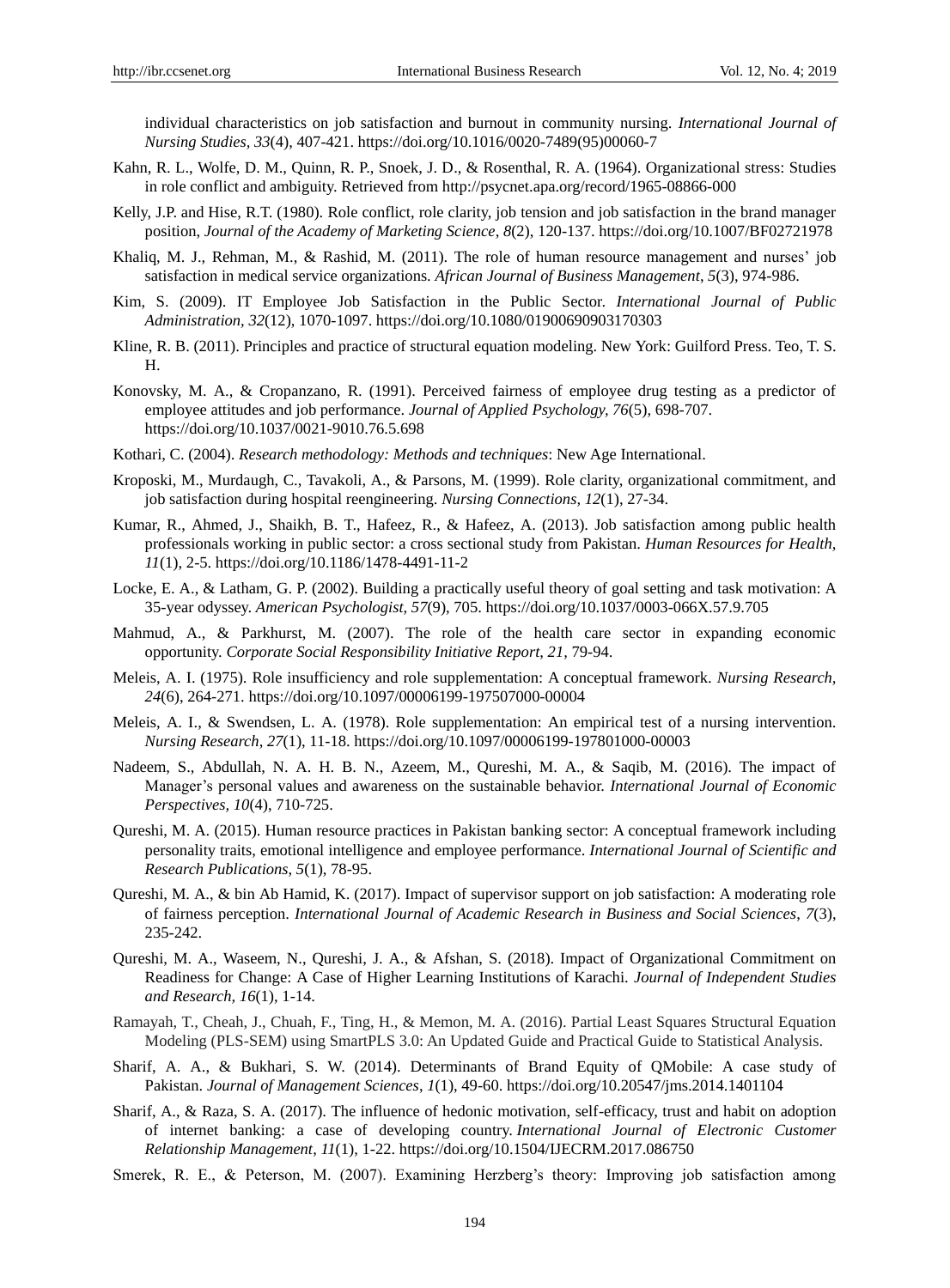individual characteristics on job satisfaction and burnout in community nursing. *International Journal of Nursing Studies, 33*(4), 407-421. https://doi.org/10.1016/0020-7489(95)00060-7

- Kahn, R. L., Wolfe, D. M., Quinn, R. P., Snoek, J. D., & Rosenthal, R. A. (1964). Organizational stress: Studies in role conflict and ambiguity. Retrieved from <http://psycnet.apa.org/record/1965-08866-000>
- Kelly, J.P. and Hise, R.T. (1980). Role conflict, role clarity, job tension and job satisfaction in the brand manager position, *Journal of the Academy of Marketing Science*, *8*(2), 120-137. https://doi.org/10.1007/BF02721978
- Khalig, M. J., Rehman, M., & Rashid, M. (2011). The role of human resource management and nurses' job satisfaction in medical service organizations. *African Journal of Business Management*, *5*(3), 974-986.
- Kim, S. (2009). IT Employee Job Satisfaction in the Public Sector. *International Journal of Public Administration, 32*(12), 1070-1097. https://doi.org/10.1080/01900690903170303
- Kline, R. B. (2011). Principles and practice of structural equation modeling. New York: Guilford Press. Teo, T. S. H.
- Konovsky, M. A., & Cropanzano, R. (1991). Perceived fairness of employee drug testing as a predictor of employee attitudes and job performance. *Journal of Applied Psychology, 76*(5), 698-707. https://doi.org/10.1037/0021-9010.76.5.698
- Kothari, C. (2004). *Research methodology: Methods and techniques*: New Age International.
- Kroposki, M., Murdaugh, C., Tavakoli, A., & Parsons, M. (1999). Role clarity, organizational commitment, and job satisfaction during hospital reengineering. *Nursing Connections, 12*(1), 27-34.
- Kumar, R., Ahmed, J., Shaikh, B. T., Hafeez, R., & Hafeez, A. (2013). Job satisfaction among public health professionals working in public sector: a cross sectional study from Pakistan. *Human Resources for Health, 11*(1), 2-5. https://doi.org/10.1186/1478-4491-11-2
- Locke, E. A., & Latham, G. P. (2002). Building a practically useful theory of goal setting and task motivation: A 35-year odyssey. *American Psychologist, 57*(9), 705. https://doi.org/10.1037/0003-066X.57.9.705
- Mahmud, A., & Parkhurst, M. (2007). The role of the health care sector in expanding economic opportunity. *Corporate Social Responsibility Initiative Report*, *21,* 79-94.
- Meleis, A. I. (1975). Role insufficiency and role supplementation: A conceptual framework. *Nursing Research, 24*(6), 264-271. https://doi.org/10.1097/00006199-197507000-00004
- Meleis, A. I., & Swendsen, L. A. (1978). Role supplementation: An empirical test of a nursing intervention. *Nursing Research*, *27*(1), 11-18. https://doi.org/10.1097/00006199-197801000-00003
- Nadeem, S., Abdullah, N. A. H. B. N., Azeem, M., Qureshi, M. A., & Saqib, M. (2016). The impact of Manager"s personal values and awareness on the sustainable behavior. *International Journal of Economic Perspectives, 10*(4), 710-725.
- Qureshi, M. A. (2015). Human resource practices in Pakistan banking sector: A conceptual framework including personality traits, emotional intelligence and employee performance. *International Journal of Scientific and Research Publications*, *5*(1), 78-95.
- Qureshi, M. A., & bin Ab Hamid, K. (2017). Impact of supervisor support on job satisfaction: A moderating role of fairness perception. *International Journal of Academic Research in Business and Social Sciences*, *7*(3), 235-242.
- Qureshi, M. A., Waseem, N., Qureshi, J. A., & Afshan, S. (2018). Impact of Organizational Commitment on Readiness for Change: A Case of Higher Learning Institutions of Karachi. *Journal of Independent Studies and Research, 16*(1), 1-14.
- Ramayah, T., Cheah, J., Chuah, F., Ting, H., & Memon, M. A. (2016). Partial Least Squares Structural Equation Modeling (PLS-SEM) using SmartPLS 3.0: An Updated Guide and Practical Guide to Statistical Analysis.
- Sharif, A. A., & Bukhari, S. W. (2014). Determinants of Brand Equity of QMobile: A case study of Pakistan. *Journal of Management Sciences*, *1*(1), 49-60. https://doi.org/10.20547/jms.2014.1401104
- Sharif, A., & Raza, S. A. (2017). The influence of hedonic motivation, self-efficacy, trust and habit on adoption of internet banking: a case of developing country. *International Journal of Electronic Customer Relationship Management*, *11*(1), 1-22. https://doi.org/10.1504/IJECRM.2017.086750
- Smerek, R. E., & Peterson, M. (2007). Examining Herzberg's theory: Improving job satisfaction among